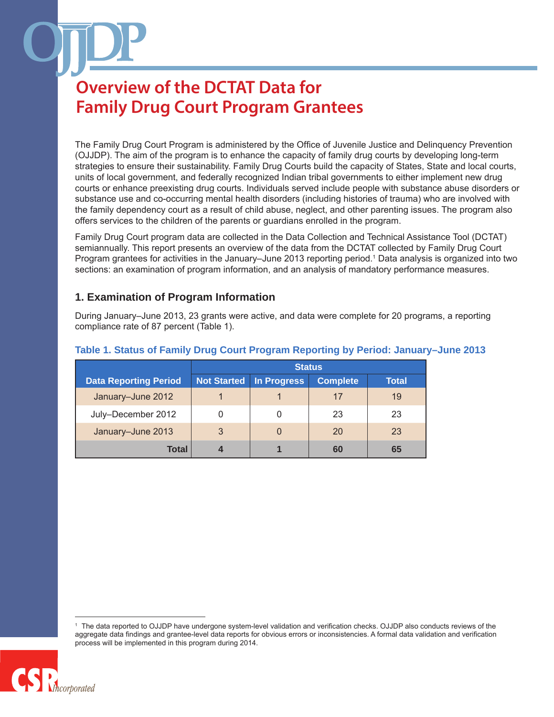The Family Drug Court Program is administered by the Office of Juvenile Justice and Delinquency Prevention (OJJDP). The aim of the program is to enhance the capacity of family drug courts by developing long-term strategies to ensure their sustainability. Family Drug Courts build the capacity of States, State and local courts, units of local government, and federally recognized Indian tribal governments to either implement new drug courts or enhance preexisting drug courts. Individuals served include people with substance abuse disorders or substance use and co-occurring mental health disorders (including histories of trauma) who are involved with the family dependency court as a result of child abuse, neglect, and other parenting issues. The program also offers services to the children of the parents or guardians enrolled in the program.

Family Drug Court program data are collected in the Data Collection and Technical Assistance Tool (DCTAT) semiannually. This report presents an overview of the data from the DCTAT collected by Family Drug Court Program grantees for activities in the January–June 2013 reporting period.<sup>1</sup> Data analysis is organized into two sections: an examination of program information, and an analysis of mandatory performance measures.

### **1. Examination of Program Information**

During January–June 2013, 23 grants were active, and data were complete for 20 programs, a reporting compliance rate of 87 percent (Table 1).

|                              | <b>Status</b>      |             |                 |       |
|------------------------------|--------------------|-------------|-----------------|-------|
| <b>Data Reporting Period</b> | <b>Not Started</b> | In Progress | <b>Complete</b> | Total |
| January-June 2012            |                    |             | 17              | 19    |
| July-December 2012           |                    |             | 23              | 23    |
| January-June 2013            | 3                  |             | 20              | 23    |
| <b>Total</b>                 |                    |             | 60              | 65    |

### **Table 1. Status of Family Drug Court Program Reporting by Period: January–June 2013**

The data reported to OJJDP have undergone system-level validation and verification checks. OJJDP also conducts reviews of the aggregate data findings and grantee-level data reports for obvious errors or inconsistencies. A formal data validation and verification process will be implemented in this program during 2014.

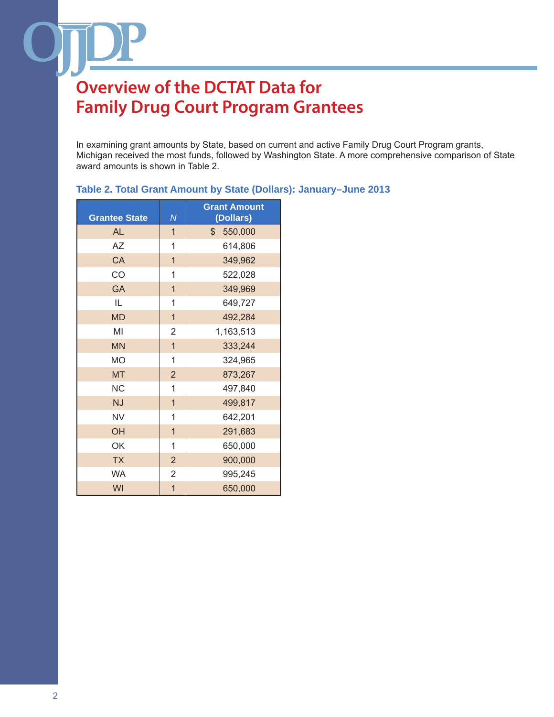In examining grant amounts by State, based on current and active Family Drug Court Program grants, Michigan received the most funds, followed by Washington State. A more comprehensive comparison of State award amounts is shown in Table 2.

| <b>Grantee State</b> | N                       | <b>Grant Amount</b><br>(Dollars) |
|----------------------|-------------------------|----------------------------------|
| <b>AL</b>            | $\mathbf{1}$            | $\frac{1}{2}$<br>550,000         |
| <b>AZ</b>            | $\mathbf 1$             | 614,806                          |
| CA                   | $\overline{1}$          | 349,962                          |
| CO                   | $\mathbf{1}$            | 522,028                          |
| <b>GA</b>            | $\overline{\mathbf{1}}$ | 349,969                          |
| IL.                  | 1                       | 649,727                          |
| <b>MD</b>            | $\overline{1}$          | 492,284                          |
| MI                   | 2                       | 1,163,513                        |
| <b>MN</b>            | $\overline{1}$          | 333,244                          |
| <b>MO</b>            | 1                       | 324,965                          |
| <b>MT</b>            | $\overline{2}$          | 873,267                          |
| <b>NC</b>            | 1                       | 497,840                          |
| <b>NJ</b>            | $\overline{1}$          | 499,817                          |
| <b>NV</b>            | 1                       | 642,201                          |
| OH                   | $\overline{1}$          | 291,683                          |
| OK                   | 1                       | 650,000                          |
| <b>TX</b>            | $\overline{2}$          | 900,000                          |
| <b>WA</b>            | $\overline{2}$          | 995,245                          |
| WI                   | $\overline{1}$          | 650,000                          |

### **Table 2. Total Grant Amount by State (Dollars): January–June 2013**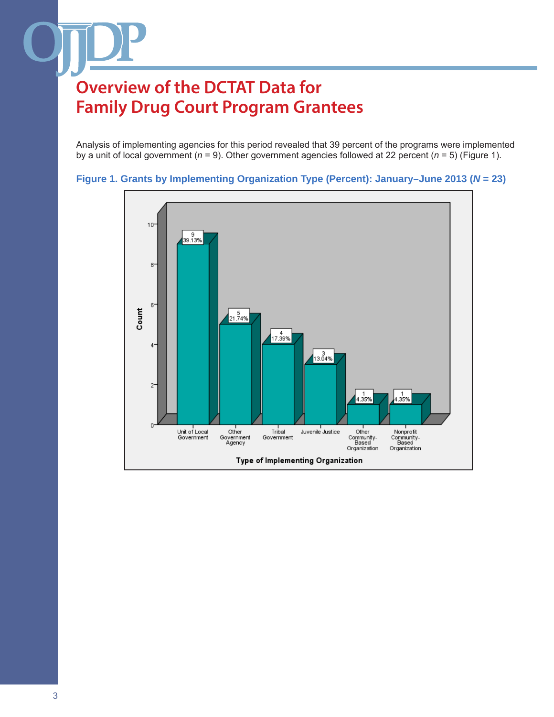Analysis of implementing agencies for this period revealed that 39 percent of the programs were implemented by a unit of local government (*n* = 9). Other government agencies followed at 22 percent (*n* = 5) (Figure 1).



### **Figure 1. Grants by Implementing Organization Type (Percent): January–June 2013 (***N* **= 23)**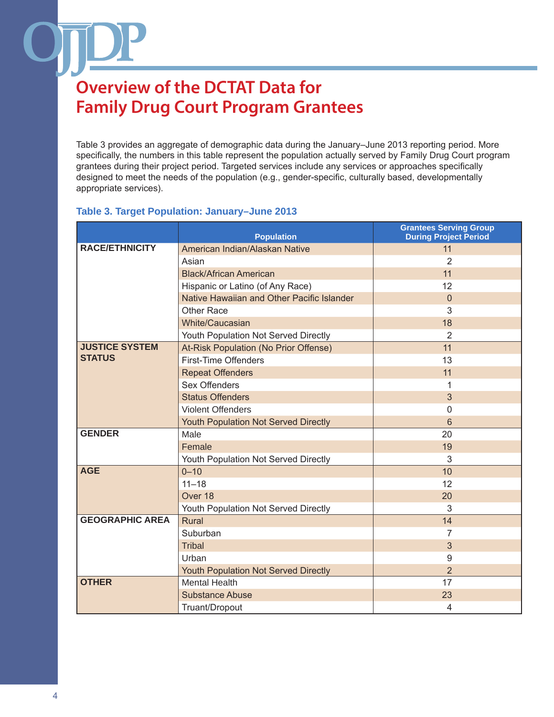Table 3 provides an aggregate of demographic data during the January–June 2013 reporting period. More specifically, the numbers in this table represent the population actually served by Family Drug Court program grantees during their project period. Targeted services include any services or approaches specifically designed to meet the needs of the population (e.g., gender-specific, culturally based, developmentally appropriate services).

### **Table 3. Target Population: January–June 2013**

|                        | <b>Population</b>                           | <b>Grantees Serving Group</b><br><b>During Project Period</b> |
|------------------------|---------------------------------------------|---------------------------------------------------------------|
| <b>RACE/ETHNICITY</b>  | American Indian/Alaskan Native              | 11                                                            |
|                        | Asian                                       | 2                                                             |
|                        | <b>Black/African American</b>               | 11                                                            |
|                        | Hispanic or Latino (of Any Race)            | 12                                                            |
|                        | Native Hawaiian and Other Pacific Islander  | $\overline{0}$                                                |
|                        | Other Race                                  | 3                                                             |
|                        | White/Caucasian                             | 18                                                            |
|                        | Youth Population Not Served Directly        | 2                                                             |
| <b>JUSTICE SYSTEM</b>  | At-Risk Population (No Prior Offense)       | 11                                                            |
| <b>STATUS</b>          | <b>First-Time Offenders</b>                 | 13                                                            |
|                        | <b>Repeat Offenders</b>                     | 11                                                            |
|                        | <b>Sex Offenders</b>                        | 1                                                             |
|                        | <b>Status Offenders</b>                     | 3                                                             |
|                        | <b>Violent Offenders</b>                    | $\Omega$                                                      |
|                        | <b>Youth Population Not Served Directly</b> | 6                                                             |
| <b>GENDER</b>          | Male                                        | 20                                                            |
|                        | Female                                      | 19                                                            |
|                        | Youth Population Not Served Directly        | 3                                                             |
| <b>AGE</b>             | $0 - 10$                                    | 10                                                            |
|                        | $11 - 18$                                   | 12                                                            |
|                        | Over 18                                     | 20                                                            |
|                        | Youth Population Not Served Directly        | 3                                                             |
| <b>GEOGRAPHIC AREA</b> | Rural                                       | 14                                                            |
|                        | Suburban                                    | 7                                                             |
|                        | <b>Tribal</b>                               | 3                                                             |
|                        | Urban                                       | 9                                                             |
|                        | Youth Population Not Served Directly        | $\overline{2}$                                                |
| <b>OTHER</b>           | <b>Mental Health</b>                        | 17                                                            |
|                        | <b>Substance Abuse</b>                      | 23                                                            |
|                        | Truant/Dropout                              | $\overline{4}$                                                |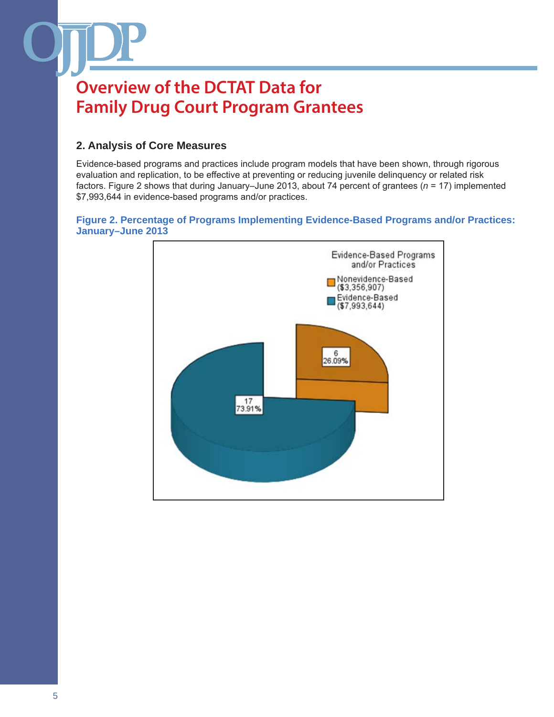### **2. Analysis of Core Measures**

Evidence-based programs and practices include program models that have been shown, through rigorous evaluation and replication, to be effective at preventing or reducing juvenile delinquency or related risk factors. Figure 2 shows that during January–June 2013, about 74 percent of grantees (*n* = 17) implemented \$7,993,644 in evidence-based programs and/or practices.

### **Figure 2. Percentage of Programs Implementing Evidence-Based Programs and/or Practices: January–June 2013**

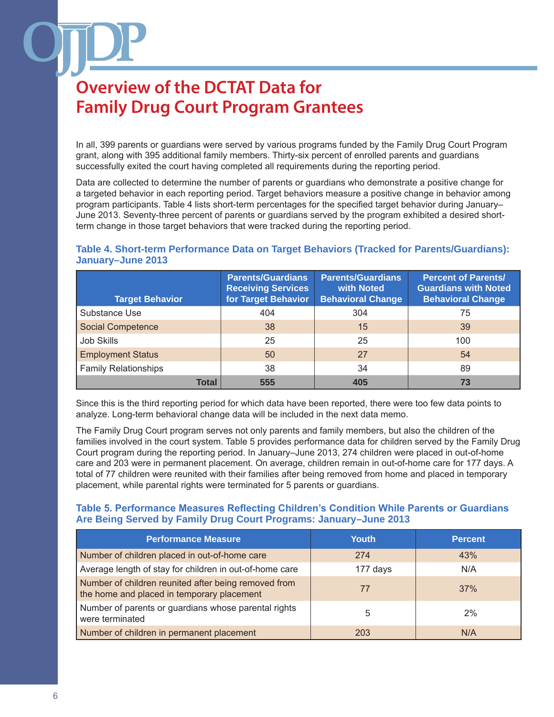In all, 399 parents or guardians were served by various programs funded by the Family Drug Court Program grant, along with 395 additional family members. Thirty-six percent of enrolled parents and guardians successfully exited the court having completed all requirements during the reporting period.

Data are collected to determine the number of parents or guardians who demonstrate a positive change for a targeted behavior in each reporting period. Target behaviors measure a positive change in behavior among program participants. Table 4 lists short-term percentages for the specified target behavior during January– June 2013. Seventy-three percent of parents or guardians served by the program exhibited a desired shortterm change in those target behaviors that were tracked during the reporting period.

### **Table 4. Short-term Performance Data on Target Behaviors (Tracked for Parents/Guardians): January–June 2013**

| <b>Target Behavior</b>      | <b>Parents/Guardians</b><br><b>Receiving Services</b><br>for Target Behavior | <b>Parents/Guardians</b><br>with Noted<br><b>Behavioral Change</b> | <b>Percent of Parents/</b><br><b>Guardians with Noted</b><br><b>Behavioral Change</b> |
|-----------------------------|------------------------------------------------------------------------------|--------------------------------------------------------------------|---------------------------------------------------------------------------------------|
| Substance Use               | 404                                                                          | 304                                                                | 75                                                                                    |
| <b>Social Competence</b>    | 38                                                                           | 15                                                                 | 39                                                                                    |
| <b>Job Skills</b>           | 25                                                                           | 25                                                                 | 100                                                                                   |
| <b>Employment Status</b>    | 50                                                                           | 27                                                                 | 54                                                                                    |
| <b>Family Relationships</b> | 38                                                                           | 34                                                                 | 89                                                                                    |
| <b>Total</b>                | 555                                                                          | 405                                                                | 73                                                                                    |

Since this is the third reporting period for which data have been reported, there were too few data points to analyze. Long-term behavioral change data will be included in the next data memo.

The Family Drug Court program serves not only parents and family members, but also the children of the families involved in the court system. Table 5 provides performance data for children served by the Family Drug Court program during the reporting period. In January–June 2013, 274 children were placed in out-of-home care and 203 were in permanent placement. On average, children remain in out-of-home care for 177 days. A total of 77 children were reunited with their families after being removed from home and placed in temporary placement, while parental rights were terminated for 5 parents or guardians.

### **Table 5. Performance Measures Reflecting Children's Condition While Parents or Guardians Are Being Served by Family Drug Court Programs: January–June 2013**

| <b>Performance Measure</b>                                                                         | <b>Youth</b> | <b>Percent</b> |
|----------------------------------------------------------------------------------------------------|--------------|----------------|
| Number of children placed in out-of-home care                                                      | 274          | 43%            |
| Average length of stay for children in out-of-home care                                            | 177 days     | N/A            |
| Number of children reunited after being removed from<br>the home and placed in temporary placement | 77           | 37%            |
| Number of parents or guardians whose parental rights<br>were terminated                            | 5            | 2%             |
| Number of children in permanent placement                                                          | 203          | N/A            |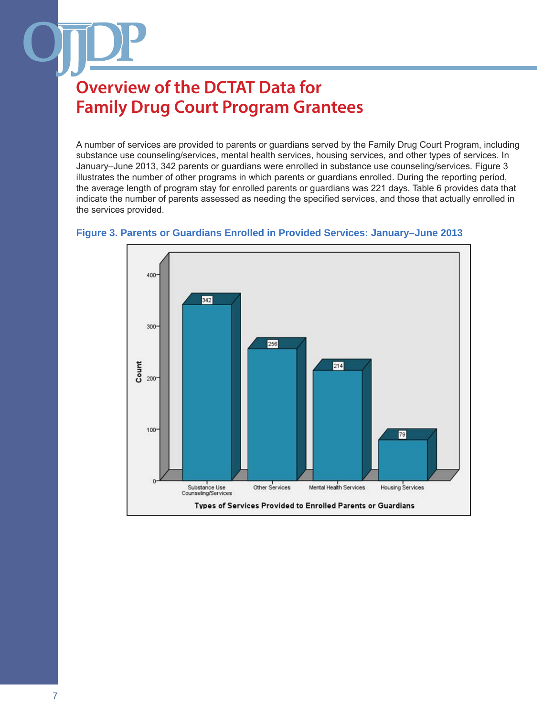A number of services are provided to parents or guardians served by the Family Drug Court Program, including substance use counseling/services, mental health services, housing services, and other types of services. In January–June 2013, 342 parents or guardians were enrolled in substance use counseling/services. Figure 3 illustrates the number of other programs in which parents or guardians enrolled. During the reporting period, the average length of program stay for enrolled parents or guardians was 221 days. Table 6 provides data that indicate the number of parents assessed as needing the specified services, and those that actually enrolled in the services provided.



#### **Figure 3. Parents or Guardians Enrolled in Provided Services: January–June 2013**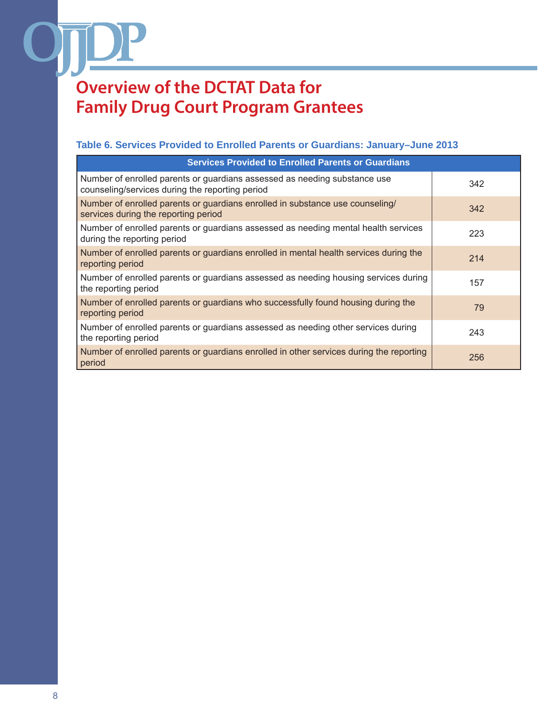### **Table 6. Services Provided to Enrolled Parents or Guardians: January–June 2013**

| <b>Services Provided to Enrolled Parents or Guardians</b>                                                                    |     |
|------------------------------------------------------------------------------------------------------------------------------|-----|
| Number of enrolled parents or guardians assessed as needing substance use<br>counseling/services during the reporting period | 342 |
| Number of enrolled parents or guardians enrolled in substance use counseling/<br>services during the reporting period        | 342 |
| Number of enrolled parents or guardians assessed as needing mental health services<br>during the reporting period            | 223 |
| Number of enrolled parents or guardians enrolled in mental health services during the<br>reporting period                    | 214 |
| Number of enrolled parents or guardians assessed as needing housing services during<br>the reporting period                  | 157 |
| Number of enrolled parents or guardians who successfully found housing during the<br>reporting period                        | 79  |
| Number of enrolled parents or guardians assessed as needing other services during<br>the reporting period                    | 243 |
| Number of enrolled parents or guardians enrolled in other services during the reporting<br>period                            | 256 |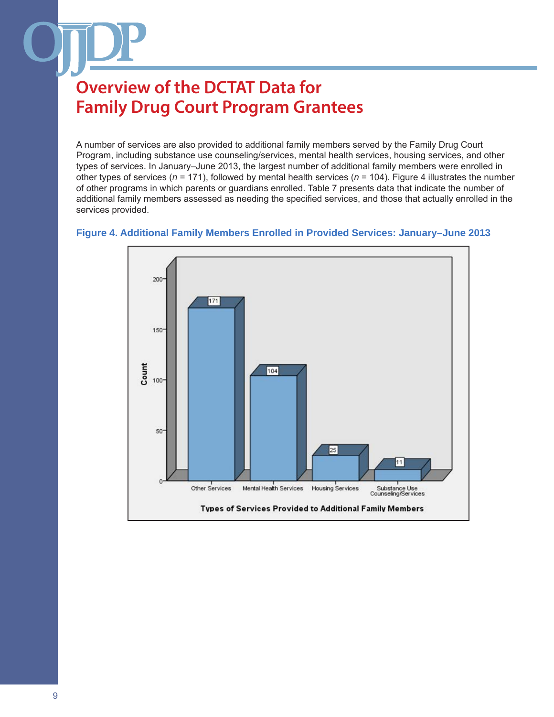A number of services are also provided to additional family members served by the Family Drug Court Program, including substance use counseling/services, mental health services, housing services, and other types of services. In January–June 2013, the largest number of additional family members were enrolled in other types of services (*n* = 171), followed by mental health services (*n* = 104). Figure 4 illustrates the number of other programs in which parents or guardians enrolled. Table 7 presents data that indicate the number of additional family members assessed as needing the specified services, and those that actually enrolled in the services provided.

## 200 171  $150 -$ Count 104 100  $50 11$ Other Services Mental Health Services Housing Services Substance Use<br>Counseling/Services Types of Services Provided to Additional Family Members

#### **Figure 4. Additional Family Members Enrolled in Provided Services: January–June 2013**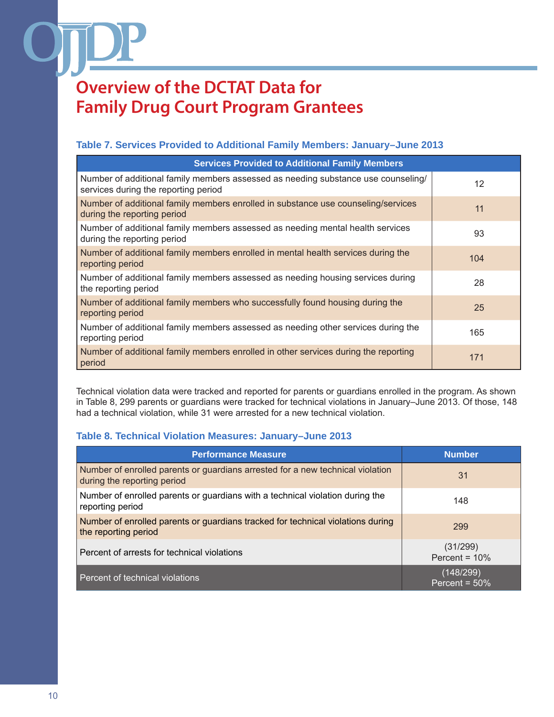### **Table 7. Services Provided to Additional Family Members: January–June 2013**

| <b>Services Provided to Additional Family Members</b>                                                                     |     |
|---------------------------------------------------------------------------------------------------------------------------|-----|
| Number of additional family members assessed as needing substance use counseling/<br>services during the reporting period | 12  |
| Number of additional family members enrolled in substance use counseling/services<br>during the reporting period          | 11  |
| Number of additional family members assessed as needing mental health services<br>during the reporting period             | 93  |
| Number of additional family members enrolled in mental health services during the<br>reporting period                     | 104 |
| Number of additional family members assessed as needing housing services during<br>the reporting period                   | 28  |
| Number of additional family members who successfully found housing during the<br>reporting period                         | 25  |
| Number of additional family members assessed as needing other services during the<br>reporting period                     | 165 |
| Number of additional family members enrolled in other services during the reporting<br>period                             | 171 |

Technical violation data were tracked and reported for parents or guardians enrolled in the program. As shown in Table 8, 299 parents or guardians were tracked for technical violations in January–June 2013. Of those, 148 had a technical violation, while 31 were arrested for a new technical violation.

### **Table 8. Technical Violation Measures: January–June 2013**

| <b>Performance Measure</b>                                                                                    | <b>Number</b>                 |
|---------------------------------------------------------------------------------------------------------------|-------------------------------|
| Number of enrolled parents or guardians arrested for a new technical violation<br>during the reporting period | 31                            |
| Number of enrolled parents or guardians with a technical violation during the<br>reporting period             | 148                           |
| Number of enrolled parents or guardians tracked for technical violations during<br>the reporting period       | 299                           |
| Percent of arrests for technical violations                                                                   | (31/299)<br>Percent = $10\%$  |
| Percent of technical violations                                                                               | (148/299)<br>Percent = $50\%$ |